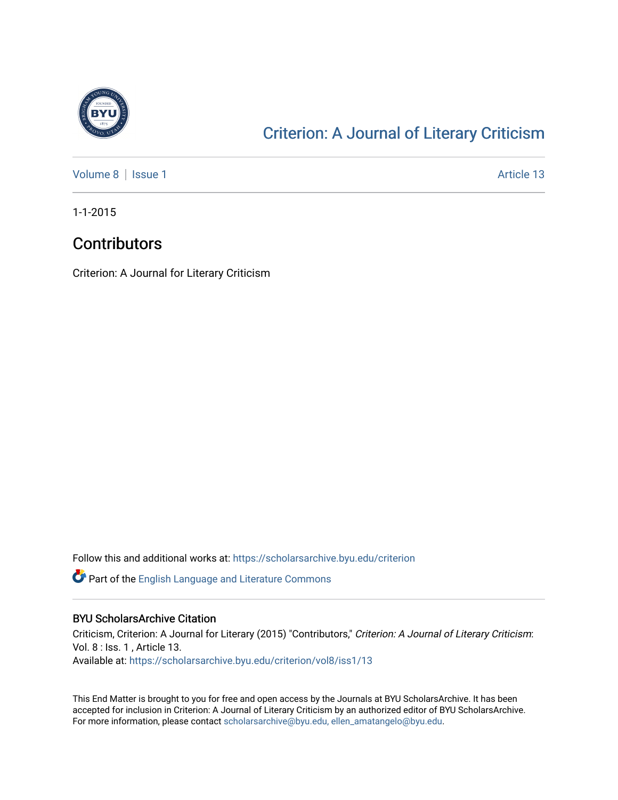

## [Criterion: A Journal of Literary Criticism](https://scholarsarchive.byu.edu/criterion)

[Volume 8](https://scholarsarchive.byu.edu/criterion/vol8) | [Issue 1](https://scholarsarchive.byu.edu/criterion/vol8/iss1) Article 13

1-1-2015

## **Contributors**

Criterion: A Journal for Literary Criticism

Follow this and additional works at: [https://scholarsarchive.byu.edu/criterion](https://scholarsarchive.byu.edu/criterion?utm_source=scholarsarchive.byu.edu%2Fcriterion%2Fvol8%2Fiss1%2F13&utm_medium=PDF&utm_campaign=PDFCoverPages) 

**P** Part of the [English Language and Literature Commons](http://network.bepress.com/hgg/discipline/455?utm_source=scholarsarchive.byu.edu%2Fcriterion%2Fvol8%2Fiss1%2F13&utm_medium=PDF&utm_campaign=PDFCoverPages)

## BYU ScholarsArchive Citation

Criticism, Criterion: A Journal for Literary (2015) "Contributors," Criterion: A Journal of Literary Criticism: Vol. 8 : Iss. 1 , Article 13. Available at: [https://scholarsarchive.byu.edu/criterion/vol8/iss1/13](https://scholarsarchive.byu.edu/criterion/vol8/iss1/13?utm_source=scholarsarchive.byu.edu%2Fcriterion%2Fvol8%2Fiss1%2F13&utm_medium=PDF&utm_campaign=PDFCoverPages)

This End Matter is brought to you for free and open access by the Journals at BYU ScholarsArchive. It has been accepted for inclusion in Criterion: A Journal of Literary Criticism by an authorized editor of BYU ScholarsArchive. For more information, please contact [scholarsarchive@byu.edu, ellen\\_amatangelo@byu.edu](mailto:scholarsarchive@byu.edu,%20ellen_amatangelo@byu.edu).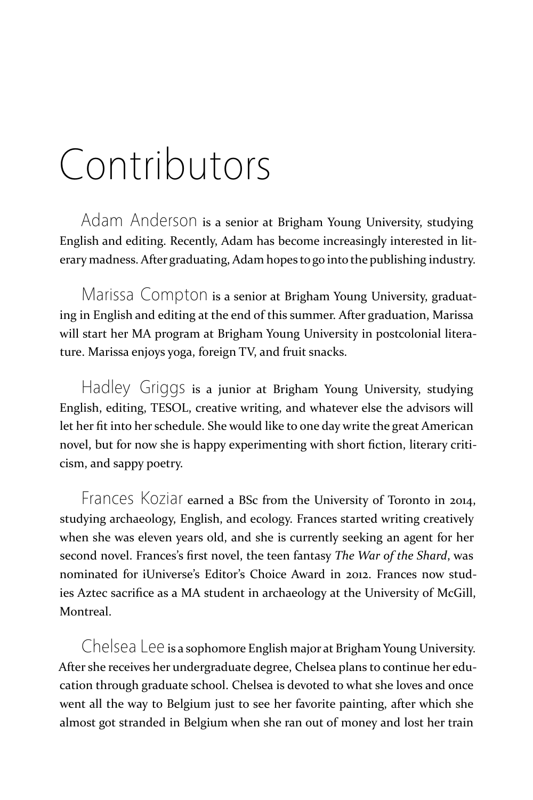## Contributors

Adam Anderson is a senior at Brigham Young University, studying English and editing. Recently, Adam has become increasingly interested in literary madness. After graduating, Adam hopes to go into the publishing industry.

Marissa Compton is a senior at Brigham Young University, graduating in English and editing at the end of this summer. After graduation, Marissa will start her MA program at Brigham Young University in postcolonial literature. Marissa enjoys yoga, foreign TV, and fruit snacks.

Hadley Griggs is a junior at Brigham Young University, studying English, editing, TESOL, creative writing, and whatever else the advisors will let her fit into her schedule. She would like to one day write the great American novel, but for now she is happy experimenting with short fiction, literary criticism, and sappy poetry.

Frances Koziar earned a BSc from the University of Toronto in 2014, studying archaeology, English, and ecology. Frances started writing creatively when she was eleven years old, and she is currently seeking an agent for her second novel. Frances's first novel, the teen fantasy *The War of the Shard*, was nominated for iUniverse's Editor's Choice Award in 2012. Frances now studies Aztec sacrifice as a MA student in archaeology at the University of McGill, **Montreal** 

Chelsea Lee is a sophomore English major at Brigham Young University. After she receives her undergraduate degree, Chelsea plans to continue her education through graduate school. Chelsea is devoted to what she loves and once went all the way to Belgium just to see her favorite painting, after which she almost got stranded in Belgium when she ran out of money and lost her train